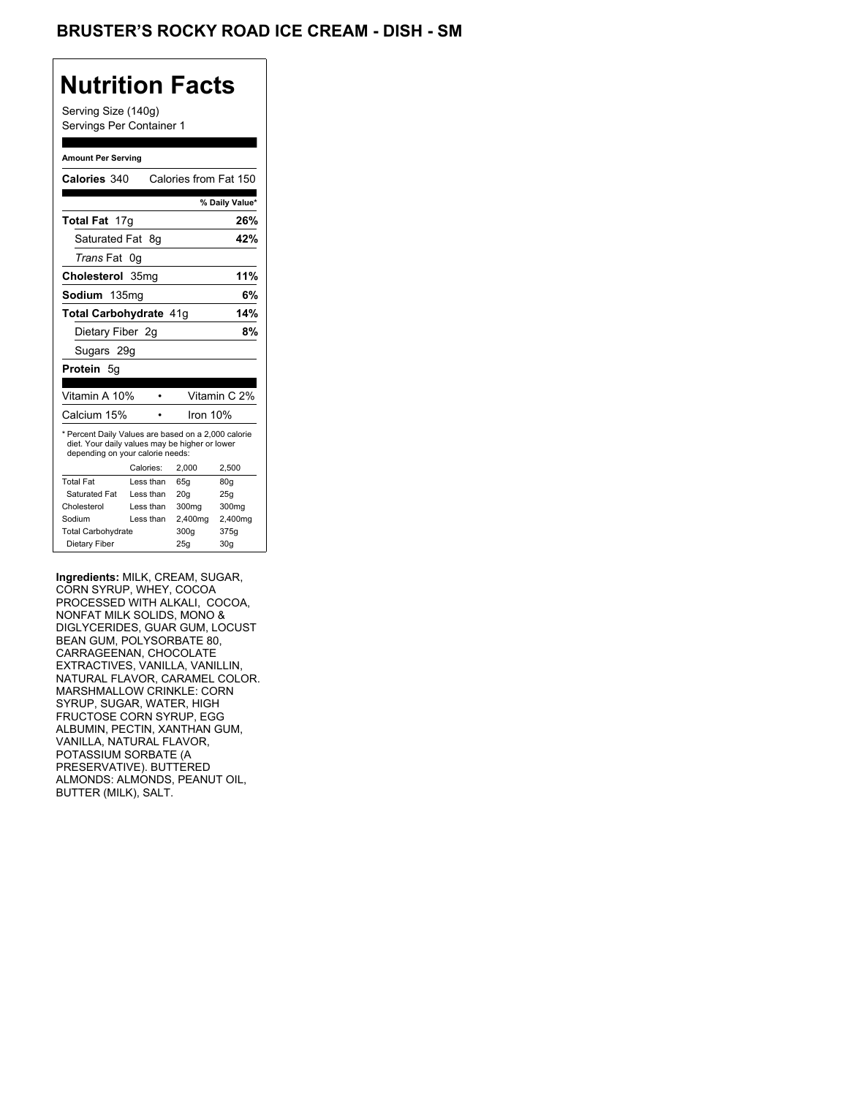## **Nutrition Facts**

Serving Size (140g) Servings Per Container 1

#### **Amount Per Serving**

| Calories 340                                                                                                                              |            | Calories from Fat 150 |                |
|-------------------------------------------------------------------------------------------------------------------------------------------|------------|-----------------------|----------------|
|                                                                                                                                           |            |                       | % Daily Value* |
| <b>Total Fat</b> 17g                                                                                                                      |            |                       | 26%            |
| Saturated Fat                                                                                                                             | - 8g       |                       | 42%            |
| <i>Trans</i> Fat                                                                                                                          | 0g         |                       |                |
| Cholesterol 35mg                                                                                                                          |            |                       | 11%            |
| Sodium 135mg                                                                                                                              |            |                       | 6%             |
| Total Carbohydrate 41q                                                                                                                    |            |                       | 14%            |
| Dietary Fiber 2q                                                                                                                          |            |                       | 8%             |
| Sugars 29g                                                                                                                                |            |                       |                |
| <b>Protein 5g</b>                                                                                                                         |            |                       |                |
|                                                                                                                                           |            |                       |                |
| Vitamin A 10%                                                                                                                             |            |                       | Vitamin C 2%   |
| Calcium 15%                                                                                                                               |            | Iron 10%              |                |
| * Percent Daily Values are based on a 2,000 calorie<br>diet. Your daily values may be higher or lower<br>depending on your calorie needs: |            |                       |                |
|                                                                                                                                           | Calories:  | 2.000                 | 2,500          |
| <b>Total Fat</b>                                                                                                                          | Less than  | 65q                   | 80q            |
| Saturated Fat                                                                                                                             | Less than  | 20q                   | 25q            |
|                                                                                                                                           | I ess than | 300mg                 | 300mg          |
| Cholesterol                                                                                                                               |            |                       |                |
| Sodium                                                                                                                                    | Less than  | 2,400mg               | 2,400mg        |
| <b>Total Carbohydrate</b>                                                                                                                 |            | 300g                  | 375g           |

**Ingredients:** MILK, CREAM, SUGAR, CORN SYRUP, WHEY, COCOA PROCESSED WITH ALKALI, COCOA, NONFAT MILK SOLIDS, MONO & DIGLYCERIDES, GUAR GUM, LOCUST BEAN GUM, POLYSORBATE 80, CARRAGEENAN, CHOCOLATE EXTRACTIVES, VANILLA, VANILLIN, NATURAL FLAVOR, CARAMEL COLOR. MARSHMALLOW CRINKLE: CORN SYRUP, SUGAR, WATER, HIGH FRUCTOSE CORN SYRUP, EGG ALBUMIN, PECTIN, XANTHAN GUM, VANILLA, NATURAL FLAVOR, POTASSIUM SORBATE (A PRESERVATIVE). BUTTERED ALMONDS: ALMONDS, PEANUT OIL, BUTTER (MILK), SALT.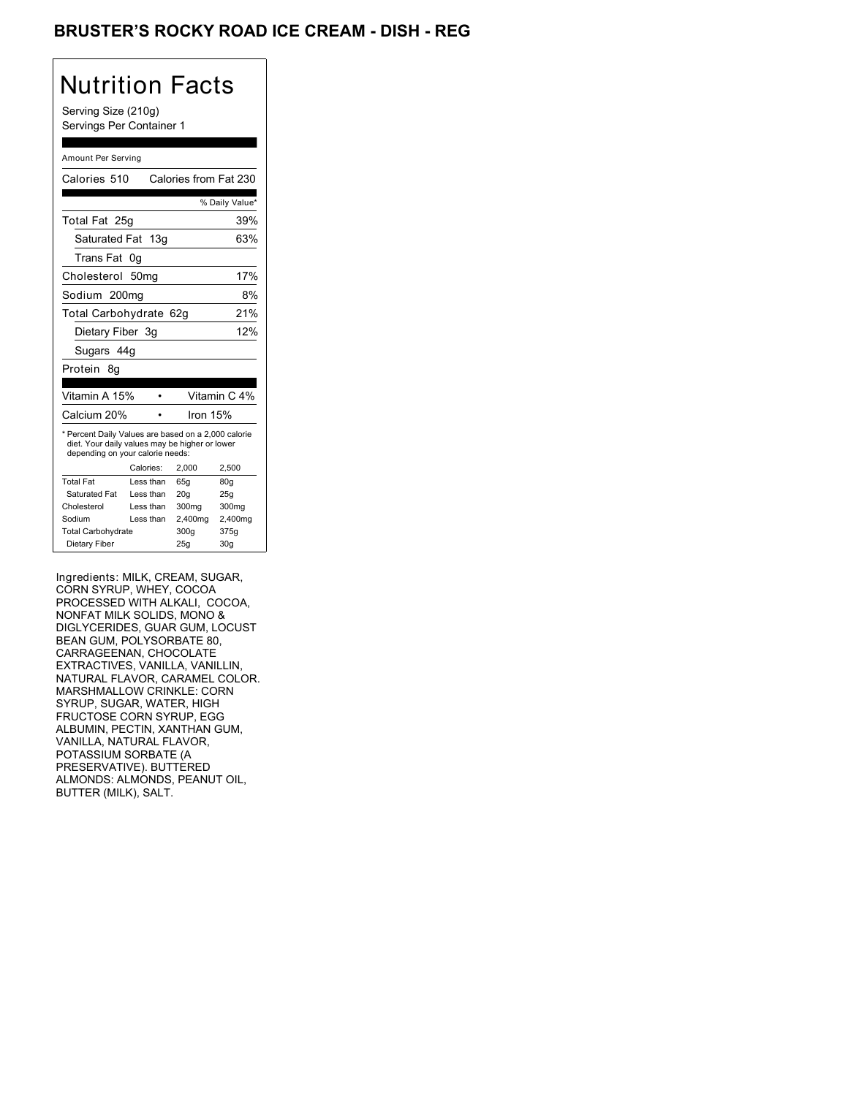## BRUSTER'S ROCKY ROAD ICE CREAM - DISH - REG

# Nutrition Facts

Serving Size (210g) Servings Per Container 1

#### Amount Per Serving

| Calories 510                                                                                                                              |                  |          | Calories from Fat 230 |
|-------------------------------------------------------------------------------------------------------------------------------------------|------------------|----------|-----------------------|
|                                                                                                                                           |                  |          | % Daily Value*        |
| Total Fat 25g                                                                                                                             |                  |          | 39%                   |
| Saturated Fat 13g                                                                                                                         |                  |          | 63%                   |
| Trans Fat                                                                                                                                 | 0g               |          |                       |
| Cholesterol                                                                                                                               | 50 <sub>mq</sub> |          | 17%                   |
| Sodium 200mg                                                                                                                              |                  |          | 8%                    |
| Total Carbohydrate 62g                                                                                                                    |                  |          | 21%                   |
| Dietary Fiber 3g                                                                                                                          |                  |          | 12%                   |
| Sugars 44g                                                                                                                                |                  |          |                       |
| Protein 8q                                                                                                                                |                  |          |                       |
|                                                                                                                                           |                  |          |                       |
| Vitamin A 15%                                                                                                                             |                  |          | Vitamin C 4%          |
| Calcium 20%                                                                                                                               |                  | lron 15% |                       |
| * Percent Daily Values are based on a 2,000 calorie<br>diet. Your daily values may be higher or lower<br>depending on your calorie needs: |                  |          |                       |
|                                                                                                                                           | Calories:        | 2.000    | 2,500                 |
| <b>Total Fat</b>                                                                                                                          | Less than        | 65q      | 80q                   |
| Saturated Fat                                                                                                                             | Less than        | 20q      | 25q                   |
| Cholesterol                                                                                                                               | Less than        | 300mg    | 300mg                 |
| Sodium                                                                                                                                    | Less than        | 2,400mg  | 2,400mg               |
| <b>Total Carbohydrate</b>                                                                                                                 |                  | 300g     | 375g                  |
| Dietary Fiber                                                                                                                             |                  | 25q      | 30q                   |

Ingredients: MILK, CREAM, SUGAR, CORN SYRUP, WHEY, COCOA PROCESSED WITH ALKALI, COCOA, NONFAT MILK SOLIDS, MONO & DIGLYCERIDES, GUAR GUM, LOCUST BEAN GUM, POLYSORBATE 80, CARRAGEENAN, CHOCOLATE EXTRACTIVES, VANILLA, VANILLIN, NATURAL FLAVOR, CARAMEL COLOR. MARSHMALLOW CRINKLE: CORN SYRUP, SUGAR, WATER, HIGH FRUCTOSE CORN SYRUP, EGG ALBUMIN, PECTIN, XANTHAN GUM, VANILLA, NATURAL FLAVOR, POTASSIUM SORBATE (A PRESERVATIVE). BUTTERED ALMONDS: ALMONDS, PEANUT OIL, BUTTER (MILK), SALT.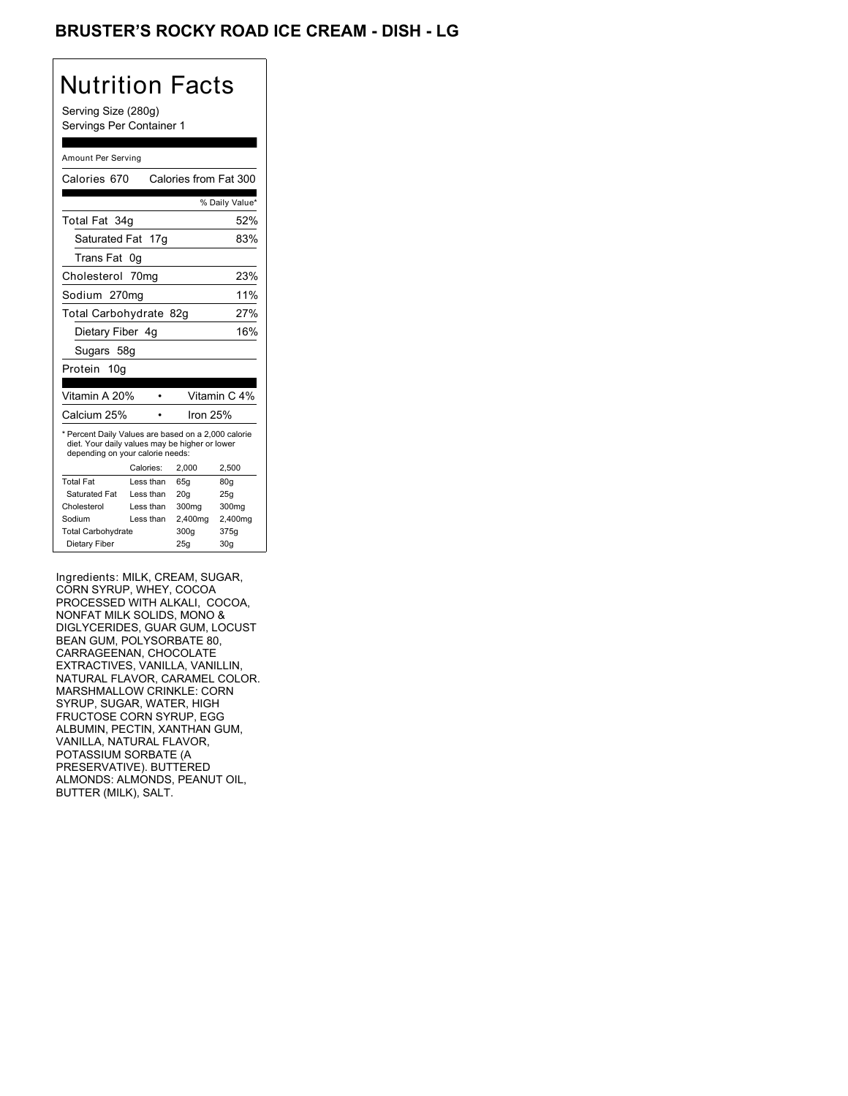## BRUSTER'S ROCKY ROAD ICE CREAM - DISH - LG

## Nutrition Facts

Serving Size (280g) Servings Per Container 1

#### Amount Per Serving

| Calories 670                                                                                                                              |           | Calories from Fat 300 |                 |
|-------------------------------------------------------------------------------------------------------------------------------------------|-----------|-----------------------|-----------------|
|                                                                                                                                           |           |                       | % Daily Value*  |
| Total Fat 34g                                                                                                                             |           |                       | 52%             |
| Saturated Fat                                                                                                                             | 17g       |                       | 83%             |
| Trans Fat                                                                                                                                 | 0g        |                       |                 |
| Cholesterol 70mg                                                                                                                          |           |                       | 23%             |
| Sodium 270mg                                                                                                                              |           |                       | 11%             |
| Total Carbohydrate 82g                                                                                                                    |           |                       | 27%             |
| Dietary Fiber 4g                                                                                                                          |           |                       | 16%             |
| Sugars 58g                                                                                                                                |           |                       |                 |
| Protein 10g                                                                                                                               |           |                       |                 |
|                                                                                                                                           |           |                       |                 |
| Vitamin A 20%                                                                                                                             |           |                       | Vitamin C 4%    |
| Calcium 25%                                                                                                                               |           | Iron 25%              |                 |
| * Percent Daily Values are based on a 2,000 calorie<br>diet. Your daily values may be higher or lower<br>depending on your calorie needs: |           |                       |                 |
|                                                                                                                                           | Calories: | 2.000                 | 2.500           |
| <b>Total Fat</b>                                                                                                                          | Less than | 65q                   | 80g             |
| Saturated Fat                                                                                                                             | Less than | 20q                   | 25g             |
| Cholesterol                                                                                                                               | Less than | 300mg                 | 300mg           |
| Sodium                                                                                                                                    | Less than | 2,400mg               | 2,400mg         |
| <b>Total Carbohydrate</b>                                                                                                                 |           | 300g                  | 375g            |
| Dietary Fiber                                                                                                                             |           | 25g                   | 30 <sub>g</sub> |

Ingredients: MILK, CREAM, SUGAR, CORN SYRUP, WHEY, COCOA PROCESSED WITH ALKALI, COCOA, NONFAT MILK SOLIDS, MONO & DIGLYCERIDES, GUAR GUM, LOCUST BEAN GUM, POLYSORBATE 80, CARRAGEENAN, CHOCOLATE EXTRACTIVES, VANILLA, VANILLIN, NATURAL FLAVOR, CARAMEL COLOR. MARSHMALLOW CRINKLE: CORN SYRUP, SUGAR, WATER, HIGH FRUCTOSE CORN SYRUP, EGG ALBUMIN, PECTIN, XANTHAN GUM, VANILLA, NATURAL FLAVOR, POTASSIUM SORBATE (A PRESERVATIVE). BUTTERED ALMONDS: ALMONDS, PEANUT OIL, BUTTER (MILK), SALT.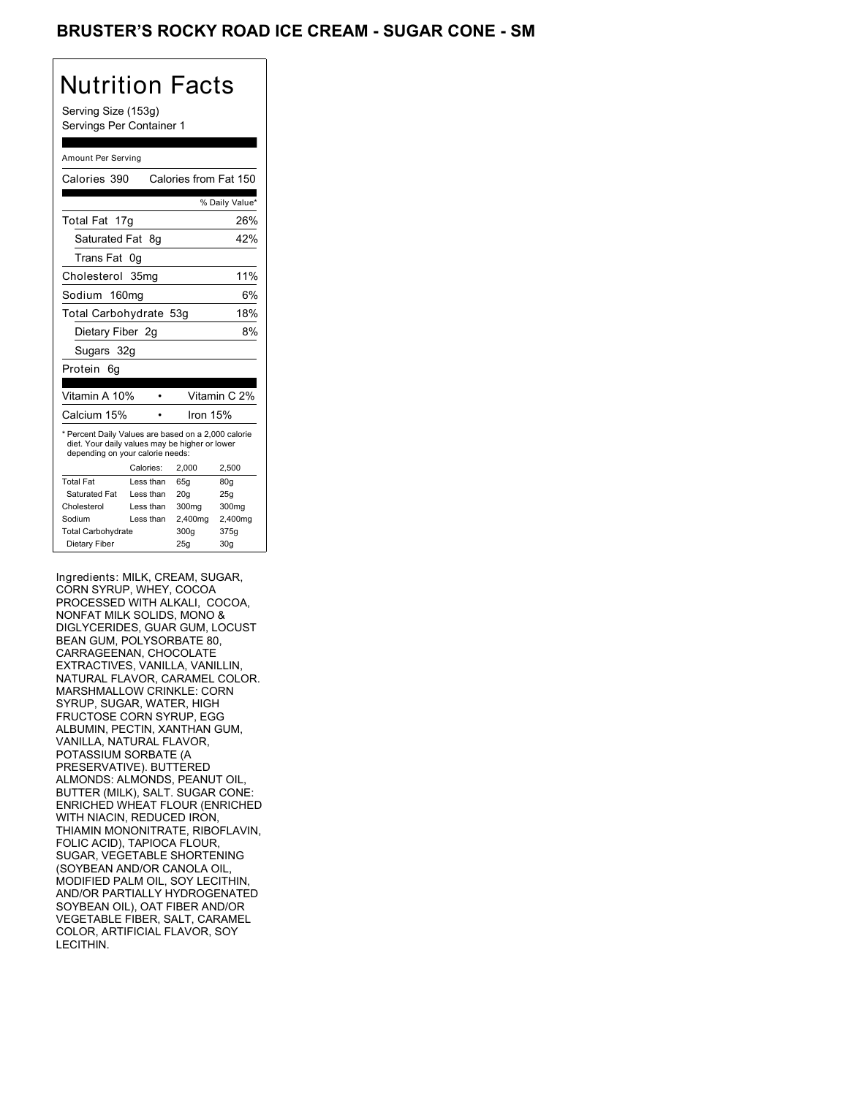## BRUSTER'S ROCKY ROAD ICE CREAM - SUGAR CONE - SM

# Nutrition Facts

Serving Size (153g) Servings Per Container 1

#### Amount Per Serving

| Calories 390                                                                                                                              |                   | Calories from Fat 150 |                 |
|-------------------------------------------------------------------------------------------------------------------------------------------|-------------------|-----------------------|-----------------|
|                                                                                                                                           |                   |                       | % Daily Value*  |
| <b>Total Fat</b>                                                                                                                          | 17 <sub>g</sub>   |                       | 26%             |
| Saturated Fat                                                                                                                             | 8g                |                       | 42%             |
| Trans Fat                                                                                                                                 | 0g                |                       |                 |
| Cholesterol 35mg                                                                                                                          |                   |                       | 11%             |
| Sodium                                                                                                                                    | 160 <sub>mq</sub> |                       | 6%              |
| Total Carbohydrate 53g                                                                                                                    |                   |                       | 18%             |
| Dietary Fiber 2g                                                                                                                          |                   |                       | 8%              |
| Sugars 32g                                                                                                                                |                   |                       |                 |
| Protein<br>6g                                                                                                                             |                   |                       |                 |
|                                                                                                                                           |                   |                       |                 |
| Vitamin A 10%                                                                                                                             | $\bullet$         |                       | Vitamin C 2%    |
| Calcium 15%                                                                                                                               |                   | Iron 15%              |                 |
| * Percent Daily Values are based on a 2,000 calorie<br>diet. Your daily values may be higher or lower<br>depending on your calorie needs: |                   |                       |                 |
|                                                                                                                                           | Calories:         | 2,000                 | 2,500           |
| <b>Total Fat</b>                                                                                                                          | Less than         | 65q                   | 80g             |
| Saturated Fat                                                                                                                             | Less than         | 20q                   | 25g             |
| Cholesterol                                                                                                                               | Less than         | 300mg                 | 300mg           |
| Sodium                                                                                                                                    | Less than         | 2,400mg               | 2,400mg         |
| <b>Total Carbohydrate</b>                                                                                                                 |                   | 300g                  | 375g            |
| Dietary Fiber                                                                                                                             |                   | 25g                   | 30 <sub>q</sub> |

Ingredients: MILK, CREAM, SUGAR, CORN SYRUP, WHEY, COCOA PROCESSED WITH ALKALI, COCOA, NONFAT MILK SOLIDS, MONO & DIGLYCERIDES, GUAR GUM, LOCUST BEAN GUM, POLYSORBATE 80, CARRAGEENAN, CHOCOLATE EXTRACTIVES, VANILLA, VANILLIN, NATURAL FLAVOR, CARAMEL COLOR. MARSHMALLOW CRINKLE: CORN SYRUP, SUGAR, WATER, HIGH FRUCTOSE CORN SYRUP, EGG ALBUMIN, PECTIN, XANTHAN GUM, VANILLA, NATURAL FLAVOR, POTASSIUM SORBATE (A PRESERVATIVE). BUTTERED ALMONDS: ALMONDS, PEANUT OIL, BUTTER (MILK), SALT. SUGAR CONE: ENRICHED WHEAT FLOUR (ENRICHED WITH NIACIN, REDUCED IRON, THIAMIN MONONITRATE, RIBOFLAVIN, FOLIC ACID), TAPIOCA FLOUR, SUGAR, VEGETABLE SHORTENING (SOYBEAN AND/OR CANOLA OIL, MODIFIED PALM OIL, SOY LECITHIN, AND/OR PARTIALLY HYDROGENATED SOYBEAN OIL), OAT FIBER AND/OR VEGETABLE FIBER, SALT, CARAMEL COLOR, ARTIFICIAL FLAVOR, SOY LECITHIN.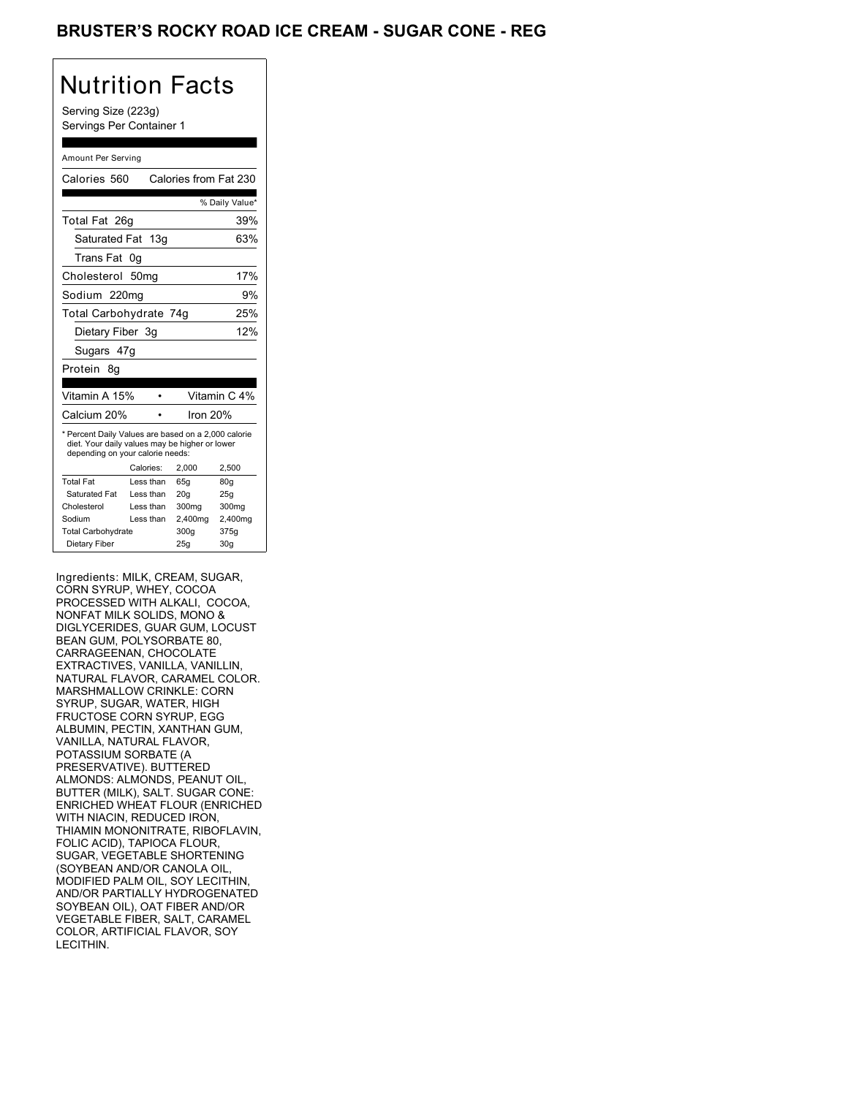## BRUSTER'S ROCKY ROAD ICE CREAM - SUGAR CONE - REG

# Nutrition Facts

Serving Size (223g) Servings Per Container 1

#### Amount Per Serving

| Calories 560                                                                                                                              |           | Calories from Fat 230 |                 |
|-------------------------------------------------------------------------------------------------------------------------------------------|-----------|-----------------------|-----------------|
|                                                                                                                                           |           |                       | % Daily Value*  |
| Total Fat 26q                                                                                                                             |           |                       | 39%             |
| Saturated Fat 13g                                                                                                                         |           |                       | 63%             |
| Trans Fat                                                                                                                                 | 0g        |                       |                 |
| Cholesterol 50mg                                                                                                                          |           |                       | 17%             |
| Sodium 220mg                                                                                                                              |           |                       | 9%              |
| Total Carbohydrate 74g                                                                                                                    |           |                       | 25%             |
| Dietary Fiber 3q                                                                                                                          |           |                       | 12%             |
| Sugars 47g                                                                                                                                |           |                       |                 |
| Protein<br>8g                                                                                                                             |           |                       |                 |
|                                                                                                                                           |           |                       |                 |
| Vitamin A 15%                                                                                                                             |           |                       | Vitamin C 4%    |
| Calcium 20%                                                                                                                               |           | Iron 20%              |                 |
| * Percent Daily Values are based on a 2,000 calorie<br>diet. Your daily values may be higher or lower<br>depending on your calorie needs: | Calories: | 2,000                 | 2,500           |
| <b>Total Fat</b>                                                                                                                          | Less than | 65g                   | 80 <sub>g</sub> |
| Saturated Fat                                                                                                                             | Less than | 20 <sub>g</sub>       | 25g             |
| Cholesterol                                                                                                                               | Less than | 300mg                 | 300mg           |
| Sodium                                                                                                                                    | Less than | 2,400mg               | 2,400mg         |
| <b>Total Carbohydrate</b>                                                                                                                 |           | 300g                  | 375g            |
| Dietary Fiber                                                                                                                             |           | 25q                   | 30 <sub>q</sub> |

Ingredients: MILK, CREAM, SUGAR, CORN SYRUP, WHEY, COCOA PROCESSED WITH ALKALI, COCOA, NONFAT MILK SOLIDS, MONO & DIGLYCERIDES, GUAR GUM, LOCUST BEAN GUM, POLYSORBATE 80, CARRAGEENAN, CHOCOLATE EXTRACTIVES, VANILLA, VANILLIN, NATURAL FLAVOR, CARAMEL COLOR. MARSHMALLOW CRINKLE: CORN SYRUP, SUGAR, WATER, HIGH FRUCTOSE CORN SYRUP, EGG ALBUMIN, PECTIN, XANTHAN GUM, VANILLA, NATURAL FLAVOR, POTASSIUM SORBATE (A PRESERVATIVE). BUTTERED ALMONDS: ALMONDS, PEANUT OIL, BUTTER (MILK), SALT. SUGAR CONE: ENRICHED WHEAT FLOUR (ENRICHED WITH NIACIN, REDUCED IRON, THIAMIN MONONITRATE, RIBOFLAVIN, FOLIC ACID), TAPIOCA FLOUR, SUGAR, VEGETABLE SHORTENING (SOYBEAN AND/OR CANOLA OIL, MODIFIED PALM OIL, SOY LECITHIN, AND/OR PARTIALLY HYDROGENATED SOYBEAN OIL), OAT FIBER AND/OR VEGETABLE FIBER, SALT, CARAMEL COLOR, ARTIFICIAL FLAVOR, SOY LECITHIN.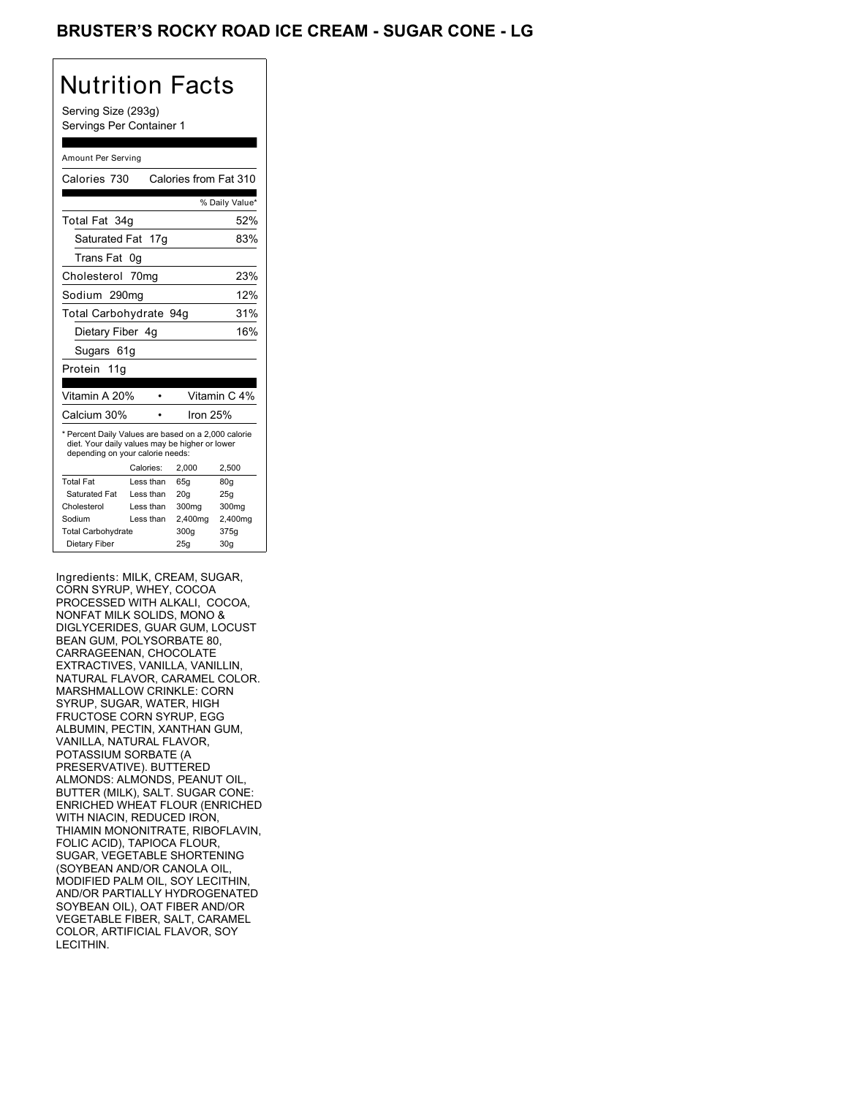## **BRUSTER'S ROCKY ROAD ICE CREAM - SUGAR CONE - LG**

# Nutrition Facts

Serving Size (293g) Servings Per Container 1

#### Amount Per Serving

| Calories 730                                                                                                                              |           | Calories from Fat 310 |                 |
|-------------------------------------------------------------------------------------------------------------------------------------------|-----------|-----------------------|-----------------|
|                                                                                                                                           |           |                       | % Daily Value*  |
| Total Fat 34g                                                                                                                             |           |                       | 52%             |
| Saturated Fat 17g                                                                                                                         |           |                       | 83%             |
| Trans Fat                                                                                                                                 | 0g        |                       |                 |
| Cholesterol 70mg                                                                                                                          |           |                       | 23%             |
| Sodium 290mg                                                                                                                              |           |                       | 12%             |
| Total Carbohydrate 94g                                                                                                                    |           |                       | 31%             |
| Dietary Fiber 4g                                                                                                                          |           |                       | 16%             |
| Sugars 61g                                                                                                                                |           |                       |                 |
| Protein 11g                                                                                                                               |           |                       |                 |
|                                                                                                                                           |           |                       |                 |
| Vitamin A 20%                                                                                                                             |           |                       | Vitamin C 4%    |
| Calcium 30%                                                                                                                               |           | Iron 25%              |                 |
| * Percent Daily Values are based on a 2,000 calorie<br>diet. Your daily values may be higher or lower<br>depending on your calorie needs: | Calories: | 2.000                 |                 |
|                                                                                                                                           |           |                       | 2,500           |
| <b>Total Fat</b>                                                                                                                          | Less than | 65q                   | 80q             |
| Saturated Fat                                                                                                                             | Less than | 20 <sub>g</sub>       | 25g             |
| Cholesterol                                                                                                                               | Less than | 300mg                 | 300mg           |
| Sodium                                                                                                                                    | Less than | 2,400mg               | 2,400mg         |
| <b>Total Carbohydrate</b>                                                                                                                 |           | 300g                  | 375g            |
| Dietary Fiber                                                                                                                             |           | 25q                   | 30 <sub>q</sub> |

Ingredients: MILK, CREAM, SUGAR, CORN SYRUP, WHEY, COCOA PROCESSED WITH ALKALI, COCOA, NONFAT MILK SOLIDS, MONO & DIGLYCERIDES, GUAR GUM, LOCUST BEAN GUM, POLYSORBATE 80, CARRAGEENAN, CHOCOLATE EXTRACTIVES, VANILLA, VANILLIN, NATURAL FLAVOR, CARAMEL COLOR. MARSHMALLOW CRINKLE: CORN SYRUP, SUGAR, WATER, HIGH FRUCTOSE CORN SYRUP, EGG ALBUMIN, PECTIN, XANTHAN GUM, VANILLA, NATURAL FLAVOR, POTASSIUM SORBATE (A PRESERVATIVE). BUTTERED ALMONDS: ALMONDS, PEANUT OIL, BUTTER (MILK), SALT. SUGAR CONE: ENRICHED WHEAT FLOUR (ENRICHED WITH NIACIN, REDUCED IRON, THIAMIN MONONITRATE, RIBOFLAVIN, FOLIC ACID), TAPIOCA FLOUR, SUGAR, VEGETABLE SHORTENING (SOYBEAN AND/OR CANOLA OIL, MODIFIED PALM OIL, SOY LECITHIN, AND/OR PARTIALLY HYDROGENATED SOYBEAN OIL), OAT FIBER AND/OR VEGETABLE FIBER, SALT, CARAMEL COLOR, ARTIFICIAL FLAVOR, SOY LECITHIN.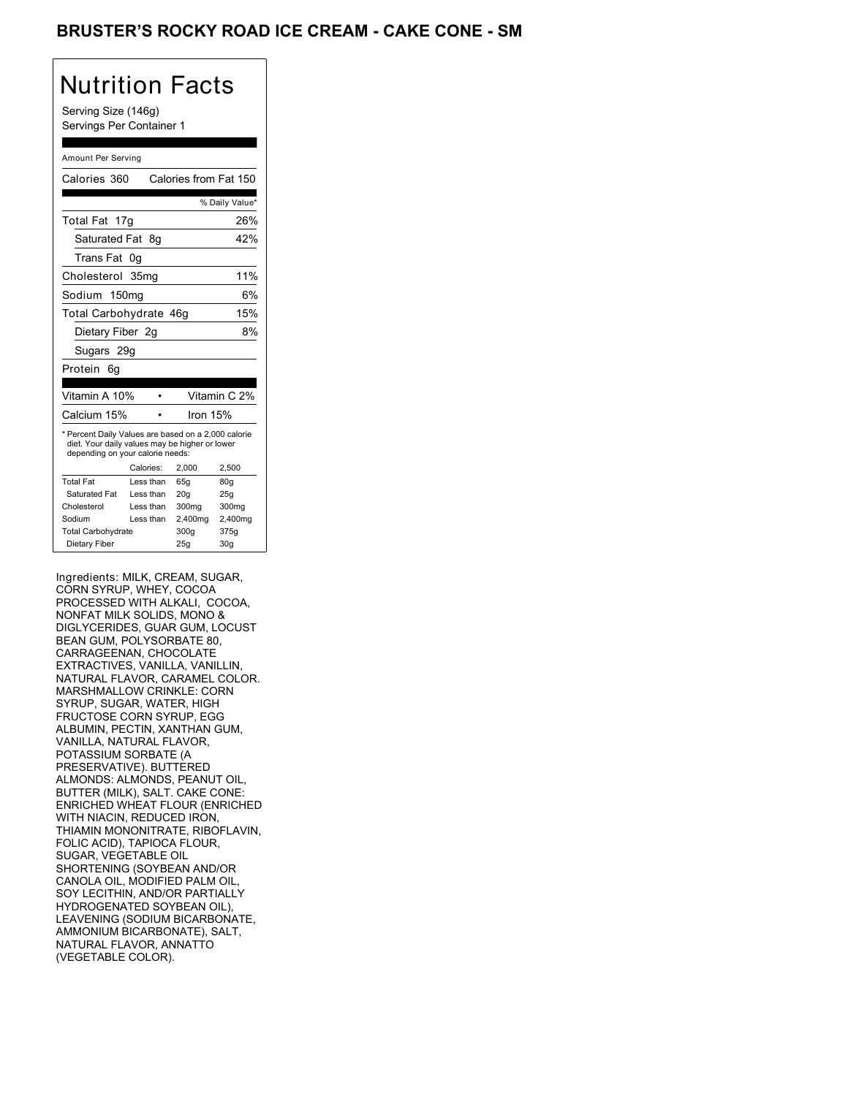## BRUSTER'S ROCKY ROAD ICE CREAM - CAKE CONE - SM

# Nutrition Facts

Serving Size (146g) Servings Per Container 1

#### Amount Per Serving

| Calories 360                                                                                                                              |                   | Calories from Fat 150 |                |
|-------------------------------------------------------------------------------------------------------------------------------------------|-------------------|-----------------------|----------------|
|                                                                                                                                           |                   |                       | % Daily Value* |
| <b>Total Fat</b>                                                                                                                          | 17g               |                       | 26%            |
| Saturated Fat                                                                                                                             | 8g                |                       | 42%            |
| Trans Fat                                                                                                                                 | 0g                |                       |                |
| Cholesterol 35mg                                                                                                                          |                   |                       | 11%            |
| Sodium                                                                                                                                    | 150 <sub>mq</sub> |                       | 6%             |
| Total Carbohydrate 46g                                                                                                                    |                   |                       | 15%            |
| Dietary Fiber 2g                                                                                                                          |                   |                       | 8%             |
| Sugars 29g                                                                                                                                |                   |                       |                |
| Protein<br>6g                                                                                                                             |                   |                       |                |
|                                                                                                                                           |                   |                       |                |
| Vitamin A 10%                                                                                                                             | $\bullet$         |                       | Vitamin C 2%   |
| Calcium 15%                                                                                                                               |                   | Iron 15%              |                |
| * Percent Daily Values are based on a 2,000 calorie<br>diet. Your daily values may be higher or lower<br>depending on your calorie needs: |                   |                       |                |
|                                                                                                                                           | Calories:         | 2,000                 | 2,500          |
| <b>Total Fat</b>                                                                                                                          | Less than         | 65q                   | 80g            |
| Saturated Fat                                                                                                                             | Less than         | 20q                   | 25g            |
| Cholesterol                                                                                                                               | Less than         | 300mg                 | 300mg          |
| Sodium                                                                                                                                    | Less than         | 2,400mg               | 2,400mg        |
| <b>Total Carbohydrate</b>                                                                                                                 |                   | 300g                  | 375g           |
|                                                                                                                                           |                   |                       |                |

Ingredients: MILK, CREAM, SUGAR, CORN SYRUP, WHEY, COCOA PROCESSED WITH ALKALI, COCOA, NONFAT MILK SOLIDS, MONO & DIGLYCERIDES, GUAR GUM, LOCUST BEAN GUM, POLYSORBATE 80, CARRAGEENAN, CHOCOLATE EXTRACTIVES, VANILLA, VANILLIN, NATURAL FLAVOR, CARAMEL COLOR. MARSHMALLOW CRINKLE: CORN SYRUP, SUGAR, WATER, HIGH FRUCTOSE CORN SYRUP, EGG ALBUMIN, PECTIN, XANTHAN GUM, VANILLA, NATURAL FLAVOR, POTASSIUM SORBATE (A PRESERVATIVE). BUTTERED ALMONDS: ALMONDS, PEANUT OIL, BUTTER (MILK), SALT. CAKE CONE: ENRICHED WHEAT FLOUR (ENRICHED WITH NIACIN, REDUCED IRON, THIAMIN MONONITRATE, RIBOFLAVIN, FOLIC ACID), TAPIOCA FLOUR, SUGAR, VEGETABLE OIL SHORTENING (SOYBEAN AND/OR CANOLA OIL, MODIFIED PALM OIL, SOY LECITHIN, AND/OR PARTIALLY HYDROGENATED SOYBEAN OIL), LEAVENING (SODIUM BICARBONATE, AMMONIUM BICARBONATE), SALT, NATURAL FLAVOR, ANNATTO (VEGETABLE COLOR).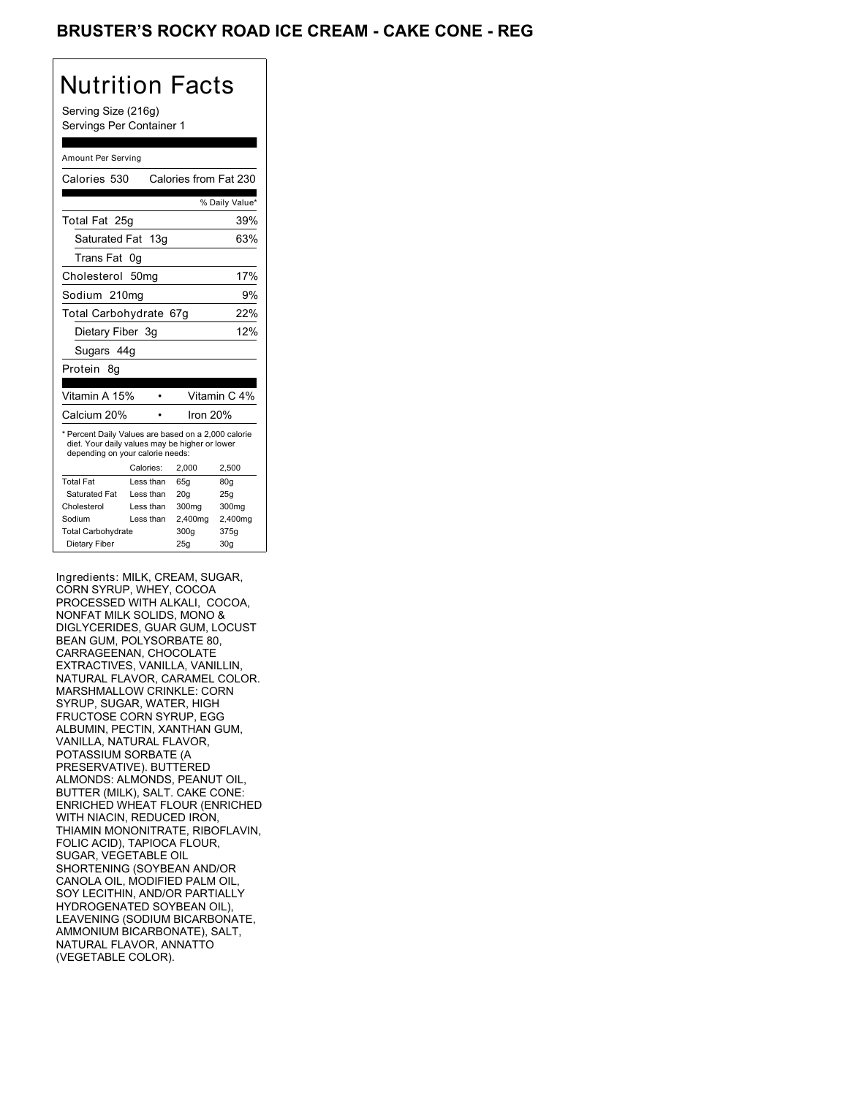## BRUSTER'S ROCKY ROAD ICE CREAM - CAKE CONE - REG

# Nutrition Facts

Serving Size (216g) Servings Per Container 1

#### Amount Per Serving

| Calories 530                           |                                         |                                                                                                                                                                                                              |
|----------------------------------------|-----------------------------------------|--------------------------------------------------------------------------------------------------------------------------------------------------------------------------------------------------------------|
|                                        |                                         | % Daily Value*                                                                                                                                                                                               |
| Total Fat 25g                          |                                         | 39%                                                                                                                                                                                                          |
| Saturated Fat 13g                      |                                         | 63%                                                                                                                                                                                                          |
| 0g                                     |                                         |                                                                                                                                                                                                              |
| Cholesterol 50mg                       |                                         | 17%                                                                                                                                                                                                          |
| Sodium 210mg                           |                                         | 9%                                                                                                                                                                                                           |
|                                        |                                         | 22%                                                                                                                                                                                                          |
| Dietary Fiber 3g                       |                                         | 12%                                                                                                                                                                                                          |
| Sugars 44g                             |                                         |                                                                                                                                                                                                              |
|                                        |                                         |                                                                                                                                                                                                              |
|                                        |                                         | Vitamin C 4%                                                                                                                                                                                                 |
| Calcium 20%                            | Iron 20%                                |                                                                                                                                                                                                              |
|                                        |                                         | 2,500                                                                                                                                                                                                        |
|                                        |                                         | 80q                                                                                                                                                                                                          |
|                                        |                                         |                                                                                                                                                                                                              |
|                                        |                                         |                                                                                                                                                                                                              |
| Less than                              | 20 <sub>g</sub>                         | 25g                                                                                                                                                                                                          |
| Less than                              | 300mg                                   | 300mg                                                                                                                                                                                                        |
| Less than<br><b>Total Carbohydrate</b> | 2,400mg<br>300g                         | 2,400mg<br>375g                                                                                                                                                                                              |
|                                        | Vitamin A 15%<br>Calories:<br>Less than | Calories from Fat 230<br>Total Carbohydrate 67g<br>* Percent Daily Values are based on a 2,000 calorie<br>diet. Your daily values may be higher or lower<br>depending on your calorie needs:<br>2.000<br>65q |

Ingredients: MILK, CREAM, SUGAR, CORN SYRUP, WHEY, COCOA PROCESSED WITH ALKALI, COCOA, NONFAT MILK SOLIDS, MONO & DIGLYCERIDES, GUAR GUM, LOCUST BEAN GUM, POLYSORBATE 80, CARRAGEENAN, CHOCOLATE EXTRACTIVES, VANILLA, VANILLIN, NATURAL FLAVOR, CARAMEL COLOR. MARSHMALLOW CRINKLE: CORN SYRUP, SUGAR, WATER, HIGH FRUCTOSE CORN SYRUP, EGG ALBUMIN, PECTIN, XANTHAN GUM, VANILLA, NATURAL FLAVOR, POTASSIUM SORBATE (A PRESERVATIVE). BUTTERED ALMONDS: ALMONDS, PEANUT OIL, BUTTER (MILK), SALT. CAKE CONE: ENRICHED WHEAT FLOUR (ENRICHED WITH NIACIN, REDUCED IRON, THIAMIN MONONITRATE, RIBOFLAVIN, FOLIC ACID), TAPIOCA FLOUR, SUGAR, VEGETABLE OIL SHORTENING (SOYBEAN AND/OR CANOLA OIL, MODIFIED PALM OIL, SOY LECITHIN, AND/OR PARTIALLY HYDROGENATED SOYBEAN OIL), LEAVENING (SODIUM BICARBONATE, AMMONIUM BICARBONATE), SALT, NATURAL FLAVOR, ANNATTO (VEGETABLE COLOR).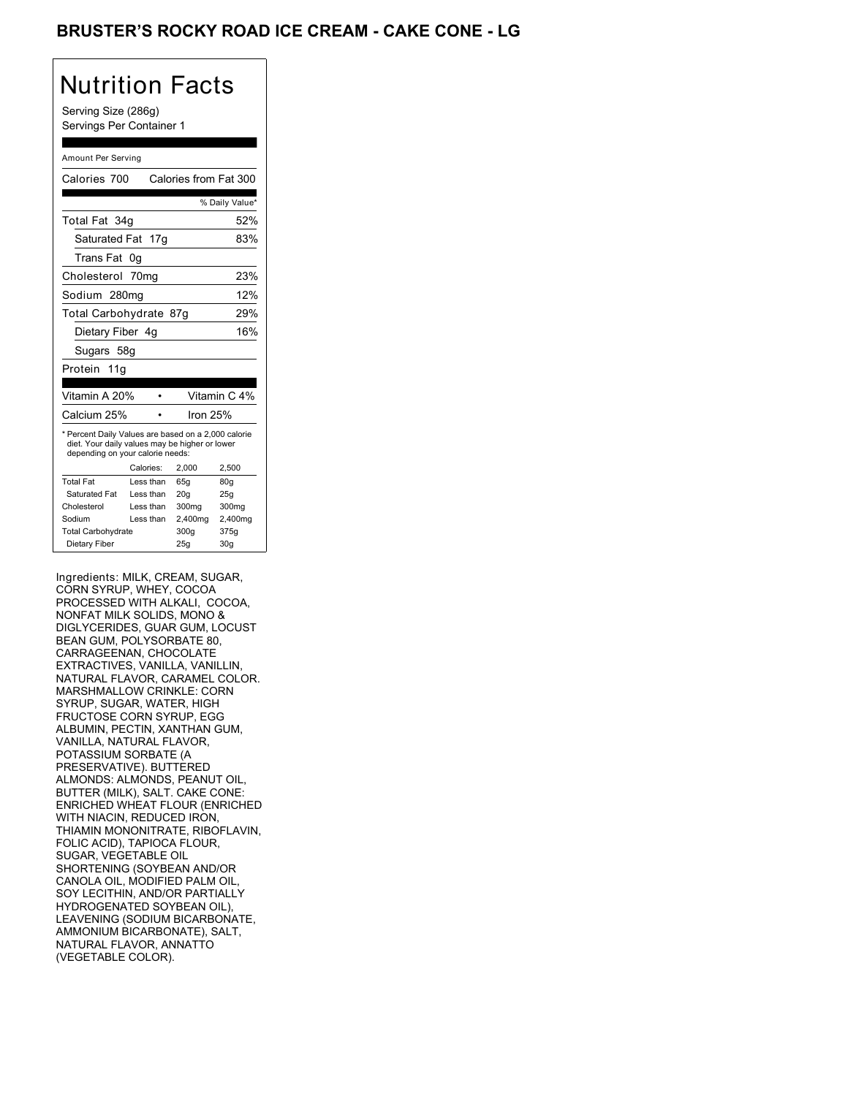## BRUSTER'S ROCKY ROAD ICE CREAM - CAKE CONE - LG

## Nutrition Facts

Serving Size (286g) Servings Per Container 1

#### Amount Per Serving

| Calories 700                                                                                                                              |           | Calories from Fat 300 |                 |
|-------------------------------------------------------------------------------------------------------------------------------------------|-----------|-----------------------|-----------------|
|                                                                                                                                           |           |                       | % Daily Value*  |
| Total Fat 34g                                                                                                                             |           |                       | 52%             |
| Saturated Fat 17g                                                                                                                         |           |                       | 83%             |
| Trans Fat                                                                                                                                 | 0g        |                       |                 |
| Cholesterol 70mg                                                                                                                          |           |                       | 23%             |
| Sodium 280ma                                                                                                                              |           |                       | 12%             |
| Total Carbohydrate 87g                                                                                                                    |           |                       | 29%             |
| Dietary Fiber 4g                                                                                                                          |           |                       | 16%             |
| Sugars 58g                                                                                                                                |           |                       |                 |
| Protein 11g                                                                                                                               |           |                       |                 |
| Vitamin A 20%                                                                                                                             |           |                       | Vitamin C 4%    |
|                                                                                                                                           |           |                       |                 |
| Calcium 25%                                                                                                                               |           | Iron 25%              |                 |
| * Percent Daily Values are based on a 2,000 calorie<br>diet. Your daily values may be higher or lower<br>depending on your calorie needs: |           |                       |                 |
|                                                                                                                                           | Calories: | 2.000                 | 2,500           |
| <b>Total Fat</b>                                                                                                                          | Less than | 65q                   | 80q             |
| Saturated Fat                                                                                                                             | Less than | 20 <sub>g</sub>       | 25g             |
| Cholesterol                                                                                                                               | Less than | 300mg                 | 300mg           |
| Sodium                                                                                                                                    | Less than | 2,400mg               | 2,400mg         |
| <b>Total Carbohydrate</b>                                                                                                                 |           | 300g                  | 375g            |
| Dietary Fiber                                                                                                                             |           | 25q                   | 30 <sub>q</sub> |

Ingredients: MILK, CREAM, SUGAR, CORN SYRUP, WHEY, COCOA PROCESSED WITH ALKALI, COCOA, NONFAT MILK SOLIDS, MONO & DIGLYCERIDES, GUAR GUM, LOCUST BEAN GUM, POLYSORBATE 80, CARRAGEENAN, CHOCOLATE EXTRACTIVES, VANILLA, VANILLIN, NATURAL FLAVOR, CARAMEL COLOR. MARSHMALLOW CRINKLE: CORN SYRUP, SUGAR, WATER, HIGH FRUCTOSE CORN SYRUP, EGG ALBUMIN, PECTIN, XANTHAN GUM, VANILLA, NATURAL FLAVOR, POTASSIUM SORBATE (A PRESERVATIVE). BUTTERED ALMONDS: ALMONDS, PEANUT OIL, BUTTER (MILK), SALT. CAKE CONE: ENRICHED WHEAT FLOUR (ENRICHED WITH NIACIN, REDUCED IRON, THIAMIN MONONITRATE, RIBOFLAVIN, FOLIC ACID), TAPIOCA FLOUR, SUGAR, VEGETABLE OIL SHORTENING (SOYBEAN AND/OR CANOLA OIL, MODIFIED PALM OIL, SOY LECITHIN, AND/OR PARTIALLY HYDROGENATED SOYBEAN OIL), LEAVENING (SODIUM BICARBONATE, AMMONIUM BICARBONATE), SALT, NATURAL FLAVOR, ANNATTO (VEGETABLE COLOR).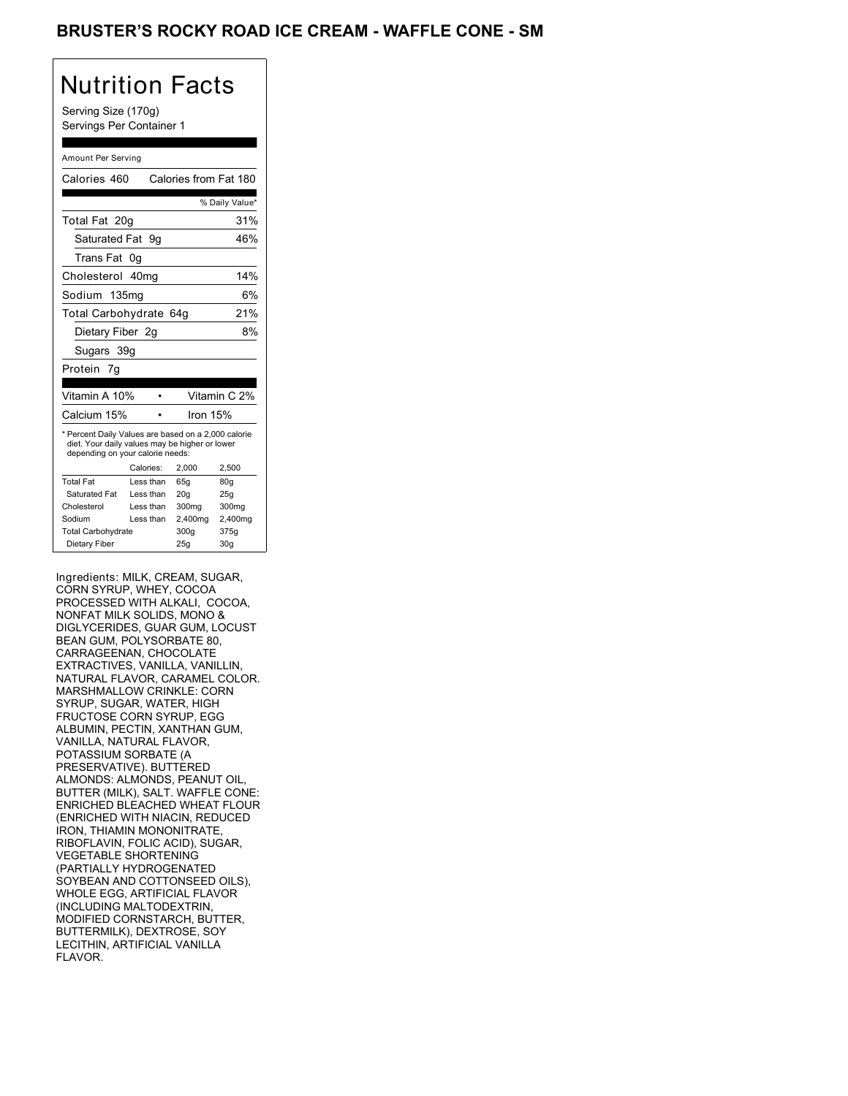## BRUSTER'S ROCKY ROAD ICE CREAM - WAFFLE CONE - SM

# Nutrition Facts

Serving Size (170g) Servings Per Container 1

#### Amount Per Serving

| Calories 460                                                                                                                              |           | Calories from Fat 180 |                 |
|-------------------------------------------------------------------------------------------------------------------------------------------|-----------|-----------------------|-----------------|
|                                                                                                                                           |           |                       | % Daily Value*  |
| Total Fat 20g                                                                                                                             |           |                       | 31%             |
| Saturated Fat                                                                                                                             | 9g        |                       | 46%             |
| Trans Fat                                                                                                                                 | 0g        |                       |                 |
| Cholesterol 40mg                                                                                                                          |           |                       | 14%             |
| Sodium 135mg                                                                                                                              |           |                       | 6%              |
| Total Carbohydrate 64g                                                                                                                    |           |                       | 21%             |
| Dietary Fiber 2g                                                                                                                          |           |                       | 8%              |
| Sugars 39g                                                                                                                                |           |                       |                 |
| Protein 7g                                                                                                                                |           |                       |                 |
|                                                                                                                                           |           |                       |                 |
| Vitamin A 10%                                                                                                                             | $\bullet$ |                       | Vitamin C 2%    |
| Calcium 15%                                                                                                                               |           | Iron 15%              |                 |
| * Percent Daily Values are based on a 2,000 calorie<br>diet. Your daily values may be higher or lower<br>depending on your calorie needs: |           |                       |                 |
|                                                                                                                                           | Calories: | 2,000                 | 2,500           |
| <b>Total Fat</b>                                                                                                                          | Less than | 65q                   | 80 <sub>g</sub> |
| Saturated Fat                                                                                                                             | Less than | 20q                   | 25q             |
| Cholesterol                                                                                                                               | Less than | 300mg                 | 300mg           |
| Sodium                                                                                                                                    | Less than | 2,400mg               | 2,400mg         |
| <b>Total Carbohydrate</b>                                                                                                                 |           | 300g                  | 375g            |
| Dietary Fiber                                                                                                                             |           | 25g                   | 30 <sub>q</sub> |

Ingredients: MILK, CREAM, SUGAR, CORN SYRUP, WHEY, COCOA PROCESSED WITH ALKALI, COCOA, NONFAT MILK SOLIDS, MONO & DIGLYCERIDES, GUAR GUM, LOCUST BEAN GUM, POLYSORBATE 80, CARRAGEENAN, CHOCOLATE EXTRACTIVES, VANILLA, VANILLIN, NATURAL FLAVOR, CARAMEL COLOR. MARSHMALLOW CRINKLE: CORN SYRUP, SUGAR, WATER, HIGH FRUCTOSE CORN SYRUP, EGG ALBUMIN, PECTIN, XANTHAN GUM, VANILLA, NATURAL FLAVOR, POTASSIUM SORBATE (A PRESERVATIVE). BUTTÈRED ALMONDS: ALMONDS, PEANUT OIL, BUTTER (MILK), SALT. WAFFLE CONE: ENRICHED BLEACHED WHEAT FLOUR (ENRICHED WITH NIACIN, REDUCED IRON, THIAMIN MONONITRATE, RIBOFLAVIN, FOLIC ACID), SUGAR, VEGETABLE SHORTENING (PARTIALLY HYDROGENATED SOYBEAN AND COTTONSEED OILS), WHOLE EGG, ARTIFICIAL FLAVOR (INCLUDING MALTODEXTRIN, MODIFIED CORNSTARCH, BUTTER, BUTTERMILK), DEXTROSE, SOY LECITHIN, ARTIFICIAL VANILLA FLAVOR.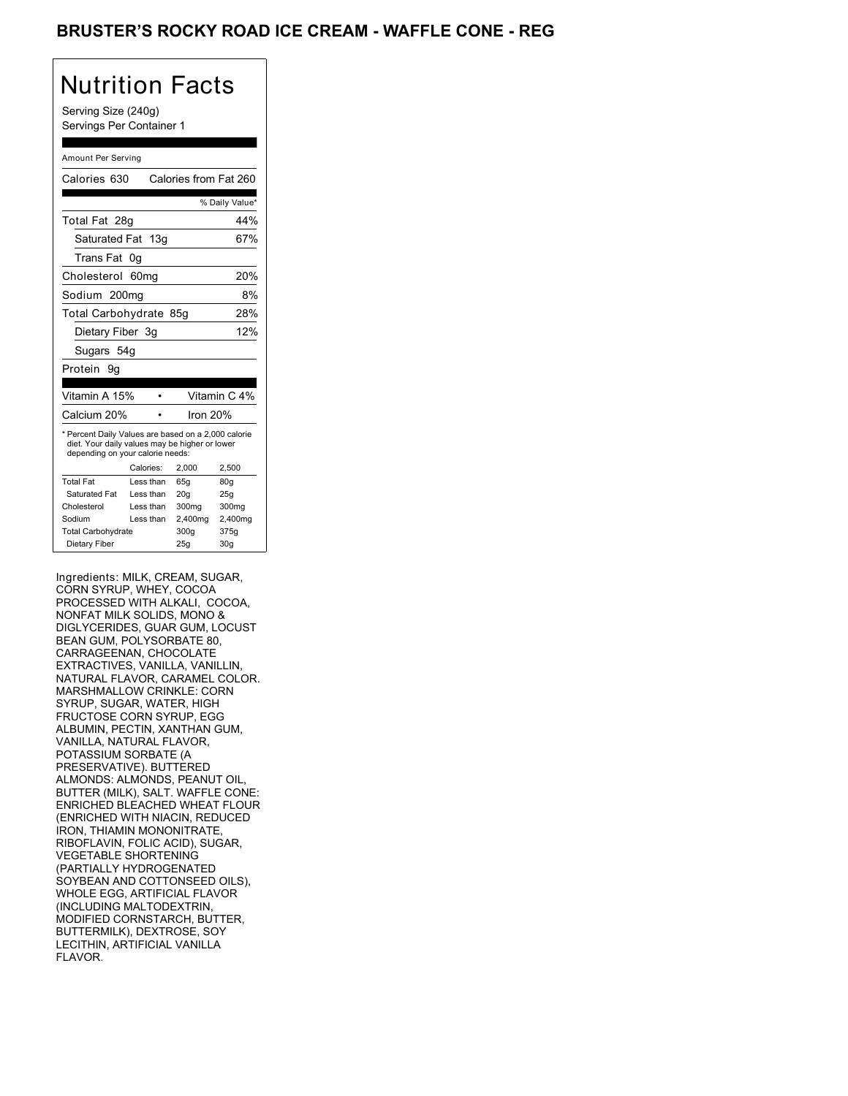## BRUSTER'S ROCKY ROAD ICE CREAM - WAFFLE CONE - REG

# Nutrition Facts

Serving Size (240g) Servings Per Container 1

#### Amount Per Serving

| Calories 630                                                                                                                              |           | Calories from Fat 260 |                 |
|-------------------------------------------------------------------------------------------------------------------------------------------|-----------|-----------------------|-----------------|
|                                                                                                                                           |           |                       | % Daily Value*  |
| Total Fat 28g                                                                                                                             |           |                       | 44%             |
| Saturated Fat 13g                                                                                                                         |           |                       | 67%             |
| Trans Fat                                                                                                                                 | 0g        |                       |                 |
| Cholesterol 60mg                                                                                                                          |           |                       | 20%             |
| Sodium 200mg                                                                                                                              |           |                       | 8%              |
| Total Carbohydrate 85g                                                                                                                    |           |                       | 28%             |
| Dietary Fiber 3g                                                                                                                          |           |                       | 12%             |
| Sugars 54g                                                                                                                                |           |                       |                 |
| Protein<br>9g                                                                                                                             |           |                       |                 |
| Vitamin A 15%                                                                                                                             |           |                       | Vitamin C 4%    |
| Calcium 20%                                                                                                                               |           | Iron 20%              |                 |
| * Percent Daily Values are based on a 2,000 calorie<br>diet. Your daily values may be higher or lower<br>depending on your calorie needs: |           |                       |                 |
|                                                                                                                                           | Calories: | 2.000                 | 2,500           |
| <b>Total Fat</b>                                                                                                                          | Less than | 65q                   | 80q             |
| Saturated Fat                                                                                                                             | Less than | 20 <sub>g</sub>       | 25g             |
| Cholesterol                                                                                                                               | Less than | 300mg                 | 300mg           |
| Sodium                                                                                                                                    | Less than | 2,400mg               | 2,400mg         |
| <b>Total Carbohydrate</b>                                                                                                                 |           | 300g                  | 375g            |
| Dietary Fiber                                                                                                                             |           | 25q                   | 30 <sub>q</sub> |

Ingredients: MILK, CREAM, SUGAR, CORN SYRUP, WHEY, COCOA PROCESSED WITH ALKALI, COCOA, NONFAT MILK SOLIDS, MONO & DIGLYCERIDES, GUAR GUM, LOCUST BEAN GUM, POLYSORBATE 80, CARRAGEENAN, CHOCOLATE EXTRACTIVES, VANILLA, VANILLIN, NATURAL FLAVOR, CARAMEL COLOR. MARSHMALLOW CRINKLE: CORN SYRUP, SUGAR, WATER, HIGH FRUCTOSE CORN SYRUP, EGG ALBUMIN, PECTIN, XANTHAN GUM, VANILLA, NATURAL FLAVOR, POTASSIUM SORBATE (A PRESERVATIVE). BUTTÈRED ALMONDS: ALMONDS, PEANUT OIL, BUTTER (MILK), SALT. WAFFLE CONE: ENRICHED BLEACHED WHEAT FLOUR (ENRICHED WITH NIACIN, REDUCED IRON, THIAMIN MONONITRATE, RIBOFLAVIN, FOLIC ACID), SUGAR, VEGETABLE SHORTENING (PARTIALLY HYDROGENATED SOYBEAN AND COTTONSEED OILS), WHOLE EGG, ARTIFICIAL FLAVOR (INCLUDING MALTODEXTRIN, MODIFIED CORNSTARCH, BUTTER, BUTTERMILK), DEXTROSE, SOY LECITHIN, ARTIFICIAL VANILLA FLAVOR.